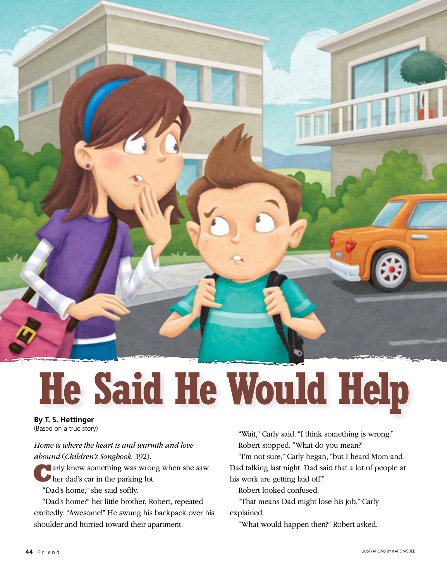

## **He Said He Would Help**

## **By T. S. Hettinger** (Based on a true story)

*Home is where the heart is and warmth and love abound* (*Children's Songbook,* 192).

**C**arly knew something was wrong when she saw her dad's car in the parking lot.

"Dad's home," she said softly.

"Dad's home?" her little brother, Robert, repeated excitedly. "Awesome!" He swung his backpack over his shoulder and hurried toward their apartment.

"Wait," Carly said. "I think something is wrong." Robert stopped. "What do you mean?"

"I'm not sure," Carly began, "but I heard Mom and Dad talking last night. Dad said that a lot of people at his work are getting laid off."

Robert looked confused.

"That means Dad might lose his job," Carly explained.

"What would happen then?" Robert asked.